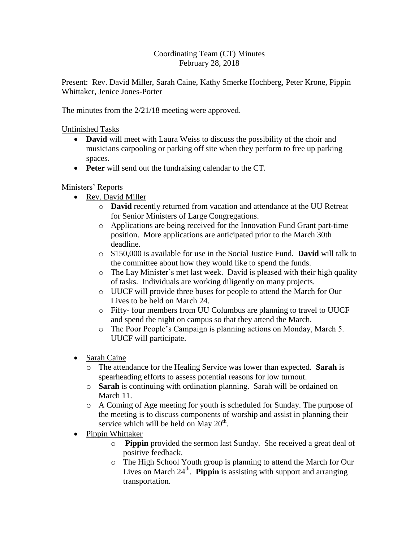## Coordinating Team (CT) Minutes February 28, 2018

Present: Rev. David Miller, Sarah Caine, Kathy Smerke Hochberg, Peter Krone, Pippin Whittaker, Jenice Jones-Porter

The minutes from the 2/21/18 meeting were approved.

Unfinished Tasks

- **David** will meet with Laura Weiss to discuss the possibility of the choir and musicians carpooling or parking off site when they perform to free up parking spaces.
- **Peter** will send out the fundraising calendar to the CT.

## Ministers' Reports

- Rev. David Miller
	- o **David** recently returned from vacation and attendance at the UU Retreat for Senior Ministers of Large Congregations.
	- o Applications are being received for the Innovation Fund Grant part-time position. More applications are anticipated prior to the March 30th deadline.
	- o \$150,000 is available for use in the Social Justice Fund. **David** will talk to the committee about how they would like to spend the funds.
	- o The Lay Minister's met last week. David is pleased with their high quality of tasks. Individuals are working diligently on many projects.
	- o UUCF will provide three buses for people to attend the March for Our Lives to be held on March 24.
	- o Fifty- four members from UU Columbus are planning to travel to UUCF and spend the night on campus so that they attend the March.
	- o The Poor People's Campaign is planning actions on Monday, March 5. UUCF will participate.
- Sarah Caine
	- o The attendance for the Healing Service was lower than expected. **Sarah** is spearheading efforts to assess potential reasons for low turnout.
	- o **Sarah** is continuing with ordination planning. Sarah will be ordained on March 11.
	- o A Coming of Age meeting for youth is scheduled for Sunday. The purpose of the meeting is to discuss components of worship and assist in planning their service which will be held on May  $20^{\text{th}}$ .
- Pippin Whittaker
	- o **Pippin** provided the sermon last Sunday. She received a great deal of positive feedback.
	- o The High School Youth group is planning to attend the March for Our Lives on March  $24<sup>th</sup>$ . **Pippin** is assisting with support and arranging transportation.